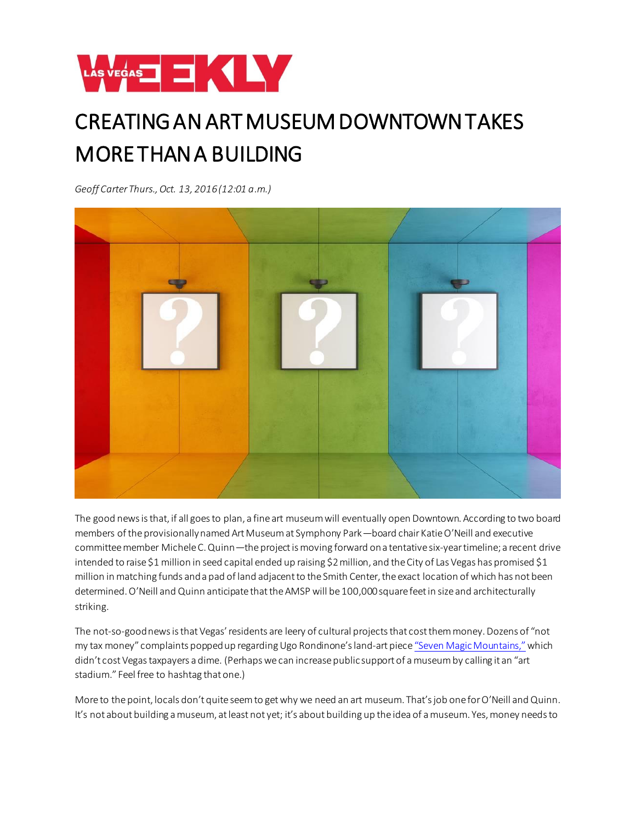

## CREATING AN ART MUSEUM DOWNTOWN TAKES MORE THAN A BUILDING

*Geoff Carter Thurs., Oct. 13, 2016 (12:01 a.m.)* 



The good news is that, if all goes to plan, a fine art museum will eventually open Downtown. According to two board members of the provisionally named Art Museum at Symphony Park—board chair Katie O'Neill and executive committee member Michele C. Quinn—the project is moving forward on a tentative six-year timeline; a recent drive intended to raise \$1 million in seed capital ended up raising \$2 million, and the City of Las Vegas has promised \$1 million in matching funds and a pad of land adjacent to the Smith Center, the exact location of which has not been determined. O'Neill and Quinn anticipate that the AMSP will be 100,000 square feet in size and architecturally striking.

The not-so-good news is that Vegas' residents are leery of cultural projects that cost them money. Dozens of "not my tax money" complaints popped up regarding Ugo Rondinone's land-art piece ["Seven Magic Mountains,"](http://https/lasvegasweekly.com/ae/fine-art/2016/may/02/seven-magic-mountains-rondinone-desert-sculpture/)which didn't cost Vegas taxpayers a dime. (Perhaps we can increase public support of a museum by calling it an "art stadium." Feel free to hashtag that one.)

More to the point, locals don't quite seem to get why we need an art museum. That's job one for O'Neill and Quinn. It's not about building a museum, at least not yet; it's about building up the idea of a museum. Yes, money needs to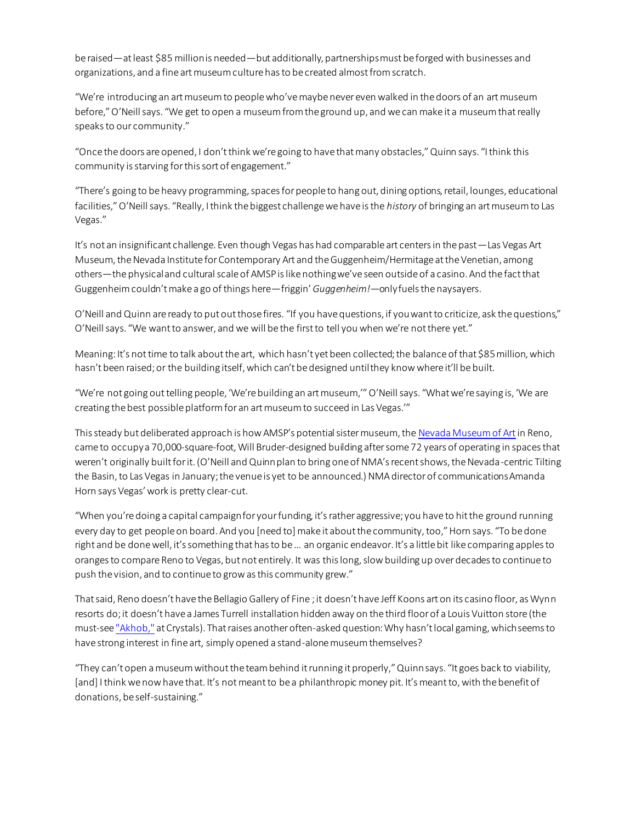be raised—at least \$85 million is needed—but additionally, partnerships must be forged with businesses and organizations, and a fine art museum culture has to be created almost from scratch.

"We're introducing an art museum to people who've maybe never even walked in the doors of an art museum before," O'Neill says. "We get to open a museum from the ground up, and we can make it a museum that really speaks to our community."

"Once the doors are opened, I don't think we're going to have that many obstacles," Quinn says. "I think this community is starving for this sort of engagement."

"There's going to be heavy programming, spaces for people to hang out, dining options, retail, lounges, educational facilities," O'Neill says. "Really, I think the biggest challenge we have is the *history* of bringing an art museum to Las Vegas."

It's not an insignificant challenge. Even though Vegas has had comparable art centers in the past—Las Vegas Art Museum, the Nevada Institute for Contemporary Art and the Guggenheim/Hermitage at the Venetian, among others—the physical and cultural scale of AMSP is like nothing we've seen outside of a casino. And the fact that Guggenheim couldn't make a go of things here—friggin'*Guggenheim!*—only fuels the naysayers.

O'Neill and Quinn are ready to put out those fires. "If you have questions, if you want to criticize, ask the questions," O'Neill says. "We want to answer, and we will be the first to tell you when we're not there yet."

Meaning: It's not time to talk about the art, which hasn't yet been collected; the balance of that \$85 million, which hasn't been raised; or the building itself, which can't be designed until they know where it'll be built.

"We're not going out telling people, 'We're building an art museum,'" O'Neill says. "What we're saying is, 'We are creating the best possible platform for an art museum to succeed in Las Vegas.'"

This steady but deliberated approach is how AMSP's potential sister museum, the [Nevada Museum of Art](http://www.nevadaart.org/)in Reno, came to occupy a 70,000-square-foot, Will Bruder-designed building after some 72 years of operating in spaces that weren't originally built for it. (O'Neill and Quinn plan to bring one of NMA's recent shows, the Nevada-centric Tilting the Basin, to Las Vegas in January; the venue is yet to be announced.) NMA director of communications Amanda Horn says Vegas' work is pretty clear-cut.

"When you're doing a capital campaign for your funding, it's rather aggressive; you have to hit the ground running every day to get people on board. And you [need to] make it about the community, too," Horn says. "To be done right and be done well, it's something that has to be … an organic endeavor. It's a little bit like comparing apples to oranges to compare Reno to Vegas, but not entirely. It was this long, slow building up over decades to continue to push the vision, and to continue to grow as this community grew."

That said, Reno doesn't have the Bellagio Gallery of Fine ; it doesn't have Jeff Koons art on its casino floor, as Wynn resorts do; it doesn't have a James Turrell installation hidden away on the third floor of a Louis Vuitton store (the must-see ["Akhob,"](https://lasvegasweekly.com/ae/fine-art/2013/may/15/james-turrell/) at Crystals). That raises another often-asked question: Why hasn't local gaming, which seems to have strong interest in fine art, simply opened a stand-alone museum themselves?

"They can't open a museum without the team behind it running it properly," Quinn says. "It goes back to viability, [and] I think we now have that. It's not meant to be a philanthropic money pit. It's meant to, with the benefit of donations, be self-sustaining."